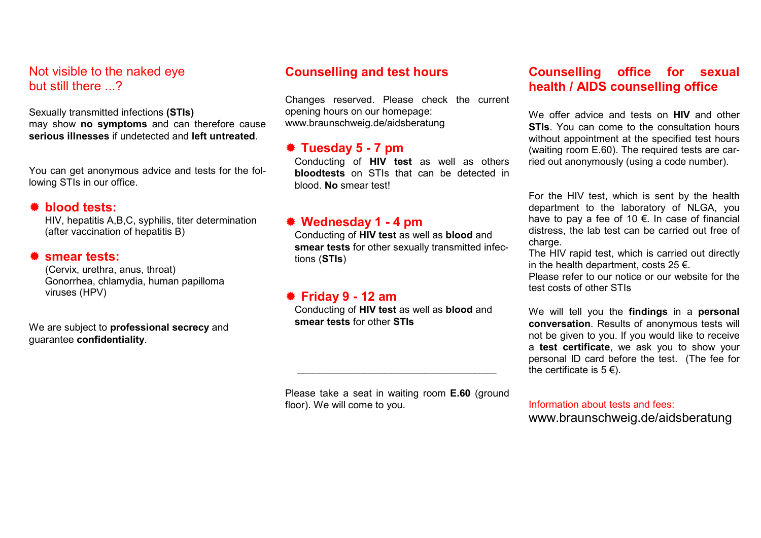#### Not visible to the naked eye but still there 2

Sexually transmitted infections (STIs) may show no symptoms and can therefore cause serious illnesses if undetected and left untreated.

You can get anonymous advice and tests for the following STIs in our office.

#### blood tests:

HIV, hepatitis A,B,C, syphilis, titer determination (after vaccination of hepatitis B)

#### **\*** smear tests:

(Cervix, urethra, anus, throat) Gonorrhea, chlamydia, human papilloma viruses (HPV)

We are subject to **professional secrecy** and guarantee confidentiality.

# Counselling and test hours

Changes reserved. Please check the current opening hours on our homepage: www.braunschweig.de/aidsberatung

## Tuesday 5 - 7 pm

Conducting of HIV test as well as others bloodtests on STIs that can be detected in blood. No smear test!

### Wednesday 1 - 4 pm

Conducting of HIV test as well as blood and smear tests for other sexually transmitted infections (STIs)

### Friday 9 - 12 am

Conducting of HIV test as well as blood and smear tests for other STIs

 $\overline{\phantom{a}}$  ,  $\overline{\phantom{a}}$  ,  $\overline{\phantom{a}}$  ,  $\overline{\phantom{a}}$  ,  $\overline{\phantom{a}}$  ,  $\overline{\phantom{a}}$  ,  $\overline{\phantom{a}}$  ,  $\overline{\phantom{a}}$  ,  $\overline{\phantom{a}}$  ,  $\overline{\phantom{a}}$  ,  $\overline{\phantom{a}}$  ,  $\overline{\phantom{a}}$  ,  $\overline{\phantom{a}}$  ,  $\overline{\phantom{a}}$  ,  $\overline{\phantom{a}}$  ,  $\overline{\phantom{a}}$ 

Please take a seat in waiting room **E.60** (ground floor). We will come to you.

# Counselling office for sexual health / AIDS counselling office

We offer advice and tests on **HIV** and other **STIs.** You can come to the consultation hours without appointment at the specified test hours (waiting room E.60). The required tests are carried out anonymously (using a code number).

For the HIV test, which is sent by the health department to the laboratory of NLGA, you have to pay a fee of 10 €. In case of financial distress, the lab test can be carried out free of charge.

The HIV rapid test, which is carried out directly in the health department, costs  $25 \in$ . Please refer to our notice or our website for the test costs of other STIs

We will tell you the findings in a personal conversation. Results of anonymous tests will not be given to you. If you would like to receive a test certificate, we ask you to show your personal ID card before the test. (The fee for the certificate is  $5 \in \mathcal{E}$ ).

### Information about tests and fees: www.braunschweig.de/aidsberatung